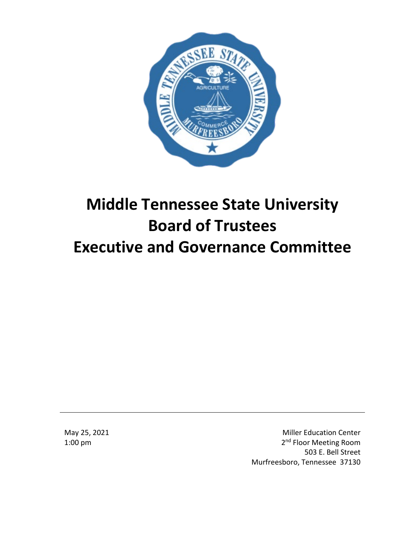

# **Middle Tennessee State University Board of Trustees Executive and Governance Committee**

May 25, 2021 1:00 pm

Miller Education Center 2<sup>nd</sup> Floor Meeting Room 503 E. Bell Street Murfreesboro, Tennessee 37130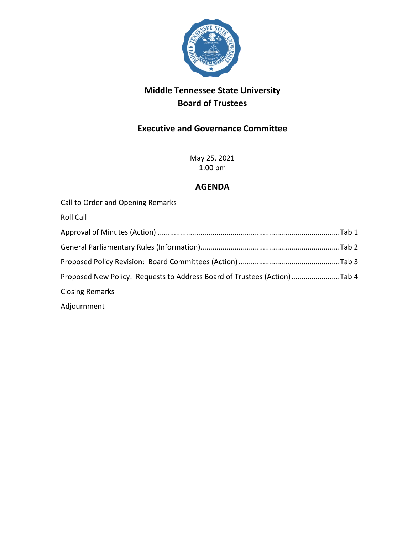

# **Middle Tennessee State University Board of Trustees**

# **Executive and Governance Committee**

May 25, 2021 1:00 pm

#### **AGENDA**

Call to Order and Opening Remarks

Roll Call

| Proposed New Policy: Requests to Address Board of Trustees (Action)Tab 4 |  |
|--------------------------------------------------------------------------|--|
| <b>Closing Remarks</b>                                                   |  |
| Adjournment                                                              |  |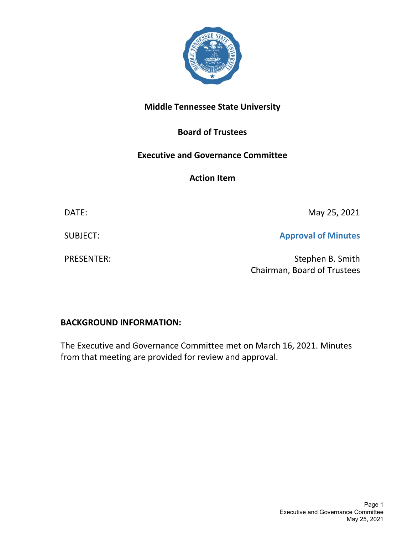

# **Middle Tennessee State University**

#### **Board of Trustees**

#### **Executive and Governance Committee**

#### **Action Item**

DATE: May 25, 2021

SUBJECT: **Approval of Minutes**

PRESENTER: Stephen B. Smith Chairman, Board of Trustees

#### **BACKGROUND INFORMATION:**

The Executive and Governance Committee met on March 16, 2021. Minutes from that meeting are provided for review and approval.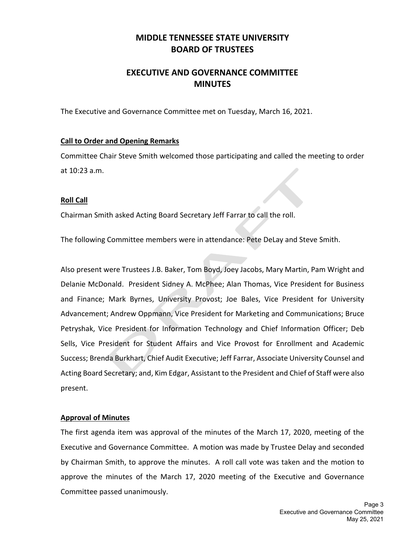#### **MIDDLE TENNESSEE STATE UNIVERSITY BOARD OF TRUSTEES**

#### **EXECUTIVE AND GOVERNANCE COMMITTEE MINUTES**

The Executive and Governance Committee met on Tuesday, March 16, 2021.

#### **Call to Order and Opening Remarks**

Committee Chair Steve Smith welcomed those participating and called the meeting to order at 10:23 a.m.

#### **Roll Call**

Chairman Smith asked Acting Board Secretary Jeff Farrar to call the roll.

The following Committee members were in attendance: Pete DeLay and Steve Smith.

Also present were Trustees J.B. Baker, Tom Boyd, Joey Jacobs, Mary Martin, Pam Wright and Delanie McDonald. President Sidney A. McPhee; Alan Thomas, Vice President for Business and Finance; Mark Byrnes, University Provost; Joe Bales, Vice President for University Advancement; Andrew Oppmann, Vice President for Marketing and Communications; Bruce Petryshak, Vice President for Information Technology and Chief Information Officer; Deb Sells, Vice President for Student Affairs and Vice Provost for Enrollment and Academic Success; Brenda Burkhart, Chief Audit Executive; Jeff Farrar, Associate University Counsel and Acting Board Secretary; and, Kim Edgar, Assistant to the President and Chief of Staff were also present.

#### **Approval of Minutes**

The first agenda item was approval of the minutes of the March 17, 2020, meeting of the Executive and Governance Committee. A motion was made by Trustee Delay and seconded by Chairman Smith, to approve the minutes. A roll call vote was taken and the motion to approve the minutes of the March 17, 2020 meeting of the Executive and Governance Committee passed unanimously.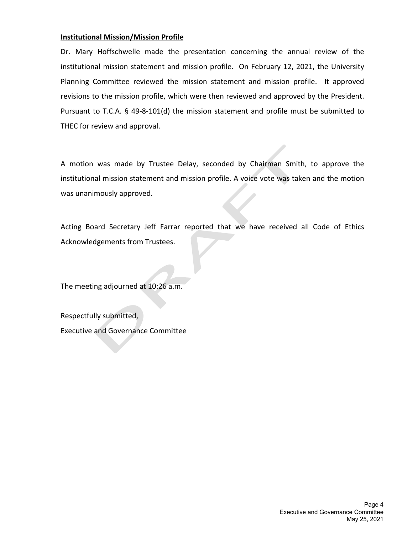#### **Institutional Mission/Mission Profile**

Dr. Mary Hoffschwelle made the presentation concerning the annual review of the institutional mission statement and mission profile. On February 12, 2021, the University Planning Committee reviewed the mission statement and mission profile. It approved revisions to the mission profile, which were then reviewed and approved by the President. Pursuant to T.C.A. § 49-8-101(d) the mission statement and profile must be submitted to THEC for review and approval.

A motion was made by Trustee Delay, seconded by Chairman Smith, to approve the institutional mission statement and mission profile. A voice vote was taken and the motion was unanimously approved.

Acting Board Secretary Jeff Farrar reported that we have received all Code of Ethics Acknowledgements from Trustees.

The meeting adjourned at 10:26 a.m.

Respectfully submitted, Executive and Governance Committee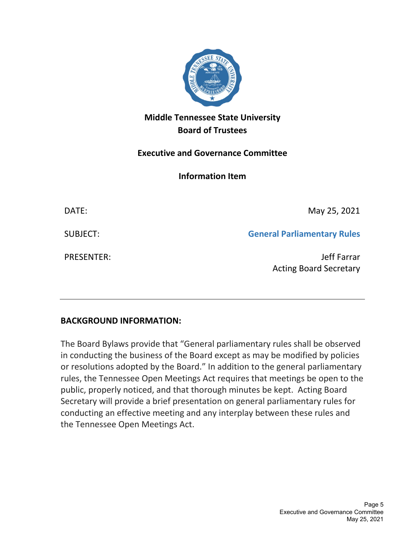

# **Middle Tennessee State University Board of Trustees**

# **Executive and Governance Committee**

**Information Item**

| DATE:      | May 25, 2021                                 |
|------------|----------------------------------------------|
| SUBJECT:   | <b>General Parliamentary Rules</b>           |
| PRESENTER: | Jeff Farrar<br><b>Acting Board Secretary</b> |

# **BACKGROUND INFORMATION:**

The Board Bylaws provide that "General parliamentary rules shall be observed in conducting the business of the Board except as may be modified by policies or resolutions adopted by the Board." In addition to the general parliamentary rules, the Tennessee Open Meetings Act requires that meetings be open to the public, properly noticed, and that thorough minutes be kept. Acting Board Secretary will provide a brief presentation on general parliamentary rules for conducting an effective meeting and any interplay between these rules and the Tennessee Open Meetings Act.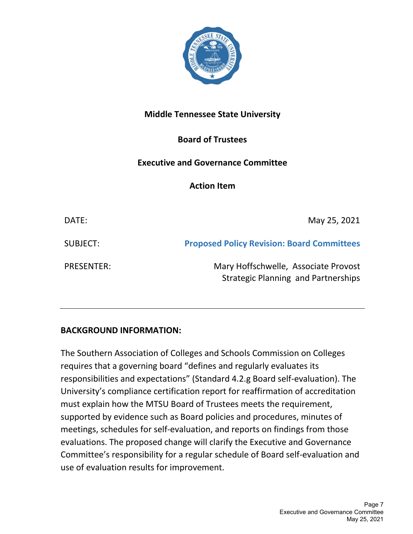

# **Middle Tennessee State University**

# **Board of Trustees**

#### **Executive and Governance Committee**

#### **Action Item**

DATE: May 25, 2021 SUBJECT: **Proposed Policy Revision: Board Committees** PRESENTER: Mary Hoffschwelle, Associate Provost Strategic Planning and Partnerships

#### **BACKGROUND INFORMATION:**

The Southern Association of Colleges and Schools Commission on Colleges requires that a governing board "defines and regularly evaluates its responsibilities and expectations" (Standard 4.2.g Board self-evaluation). The University's compliance certification report for reaffirmation of accreditation must explain how the MTSU Board of Trustees meets the requirement, supported by evidence such as Board policies and procedures, minutes of meetings, schedules for self-evaluation, and reports on findings from those evaluations. The proposed change will clarify the Executive and Governance Committee's responsibility for a regular schedule of Board self-evaluation and use of evaluation results for improvement.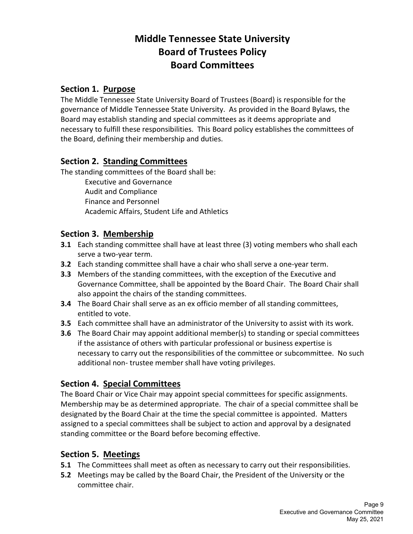# **Middle Tennessee State University Board of Trustees Policy Board Committees**

#### **Section 1. Purpose**

The Middle Tennessee State University Board of Trustees (Board) is responsible for the governance of Middle Tennessee State University. As provided in the Board Bylaws, the Board may establish standing and special committees as it deems appropriate and necessary to fulfill these responsibilities. This Board policy establishes the committees of the Board, defining their membership and duties.

#### **Section 2. Standing Committees**

The standing committees of the Board shall be:

Executive and Governance Audit and Compliance Finance and Personnel Academic Affairs, Student Life and Athletics

#### **Section 3. Membership**

- **3.1** Each standing committee shall have at least three (3) voting members who shall each serve a two-year term.
- **3.2** Each standing committee shall have a chair who shall serve a one-year term.
- **3.3** Members of the standing committees, with the exception of the Executive and Governance Committee, shall be appointed by the Board Chair. The Board Chair shall also appoint the chairs of the standing committees.
- **3.4** The Board Chair shall serve as an ex officio member of all standing committees, entitled to vote.
- **3.5** Each committee shall have an administrator of the University to assist with its work.
- **3.6** The Board Chair may appoint additional member(s) to standing or special committees if the assistance of others with particular professional or business expertise is necessary to carry out the responsibilities of the committee or subcommittee. No such additional non- trustee member shall have voting privileges.

#### **Section 4. Special Committees**

The Board Chair or Vice Chair may appoint special committees for specific assignments. Membership may be as determined appropriate. The chair of a special committee shall be designated by the Board Chair at the time the special committee is appointed. Matters assigned to a special committees shall be subject to action and approval by a designated standing committee or the Board before becoming effective.

#### **Section 5. Meetings**

- **5.1** The Committees shall meet as often as necessary to carry out their responsibilities.
- **5.2** Meetings may be called by the Board Chair, the President of the University or the committee chair.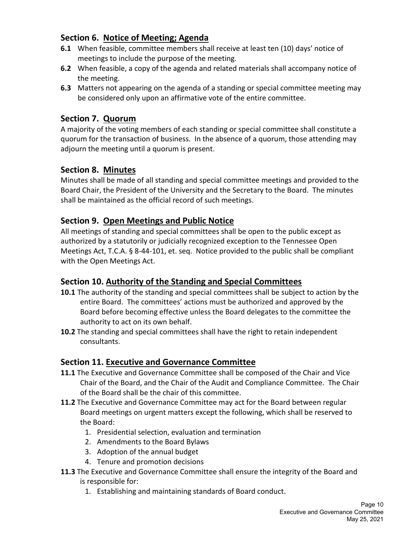#### **Section 6. Notice of Meeting; Agenda**

- **6.1** When feasible, committee members shall receive at least ten (10) days' notice of meetings to include the purpose of the meeting.
- **6.2** When feasible, a copy of the agenda and related materials shall accompany notice of the meeting.
- **6.3** Matters not appearing on the agenda of a standing or special committee meeting may be considered only upon an affirmative vote of the entire committee.

#### **Section 7. Quorum**

A majority of the voting members of each standing or special committee shall constitute a quorum for the transaction of business. In the absence of a quorum, those attending may adjourn the meeting until a quorum is present.

#### **Section 8. Minutes**

Minutes shall be made of all standing and special committee meetings and provided to the Board Chair, the President of the University and the Secretary to the Board. The minutes shall be maintained as the official record of such meetings.

#### **Section 9. Open Meetings and Public Notice**

All meetings of standing and special committees shall be open to the public except as authorized by a statutorily or judicially recognized exception to the Tennessee Open Meetings Act, T.C.A. § 8-44-101, et. seq. Notice provided to the public shall be compliant with the Open Meetings Act.

#### **Section 10. Authority of the Standing and Special Committees**

- **10.1** The authority of the standing and special committees shall be subject to action by the entire Board. The committees' actions must be authorized and approved by the Board before becoming effective unless the Board delegates to the committee the authority to act on its own behalf.
- **10.2** The standing and special committees shall have the right to retain independent consultants.

#### **Section 11. Executive and Governance Committee**

- **11.1** The Executive and Governance Committee shall be composed of the Chair and Vice Chair of the Board, and the Chair of the Audit and Compliance Committee. The Chair of the Board shall be the chair of this committee.
- **11.2** The Executive and Governance Committee may act for the Board between regular Board meetings on urgent matters except the following, which shall be reserved to the Board:
	- 1. Presidential selection, evaluation and termination
	- 2. Amendments to the Board Bylaws
	- 3. Adoption of the annual budget
	- 4. Tenure and promotion decisions
- **11.3** The Executive and Governance Committee shall ensure the integrity of the Board and is responsible for:
	- 1. Establishing and maintaining standards of Board conduct.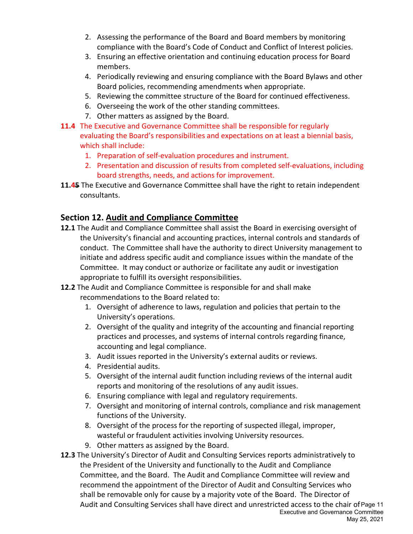- 2. Assessing the performance of the Board and Board members by monitoring compliance with the Board's Code of Conduct and Conflict of Interest policies.
- 3. Ensuring an effective orientation and continuing education process for Board members.
- 4. Periodically reviewing and ensuring compliance with the Board Bylaws and other Board policies, recommending amendments when appropriate.
- 5. Reviewing the committee structure of the Board for continued effectiveness.
- 6. Overseeing the work of the other standing committees.
- 7. Other matters as assigned by the Board.
- **11.4** The Executive and Governance Committee shall be responsible for regularly evaluating the Board's responsibilities and expectations on at least a biennial basis, which shall include:
	- 1. Preparation of self-evaluation procedures and instrument.
	- 2. Presentation and discussion of results from completed self-evaluations, including board strengths, needs, and actions for improvement.
- **11.45** The Executive and Governance Committee shall have the right to retain independent consultants.

#### **Section 12. Audit and Compliance Committee**

- **12.1** The Audit and Compliance Committee shall assist the Board in exercising oversight of the University's financial and accounting practices, internal controls and standards of conduct. The Committee shall have the authority to direct University management to initiate and address specific audit and compliance issues within the mandate of the Committee. It may conduct or authorize or facilitate any audit or investigation appropriate to fulfill its oversight responsibilities.
- **12.2** The Audit and Compliance Committee is responsible for and shall make recommendations to the Board related to:
	- 1. Oversight of adherence to laws, regulation and policies that pertain to the University's operations.
	- 2. Oversight of the quality and integrity of the accounting and financial reporting practices and processes, and systems of internal controls regarding finance, accounting and legal compliance.
	- 3. Audit issues reported in the University's external audits or reviews.
	- 4. Presidential audits.
	- 5. Oversight of the internal audit function including reviews of the internal audit reports and monitoring of the resolutions of any audit issues.
	- 6. Ensuring compliance with legal and regulatory requirements.
	- 7. Oversight and monitoring of internal controls, compliance and risk management functions of the University.
	- 8. Oversight of the process for the reporting of suspected illegal, improper, wasteful or fraudulent activities involving University resources.
	- 9. Other matters as assigned by the Board.
- **12.3** The University's Director of Audit and Consulting Services reports administratively to the President of the University and functionally to the Audit and Compliance Committee, and the Board. The Audit and Compliance Committee will review and recommend the appointment of the Director of Audit and Consulting Services who shall be removable only for cause by a majority vote of the Board. The Director of Audit and Consulting Services shall have direct and unrestricted access to the chair of Page 11 Executive and Governance Committee May 25, 2021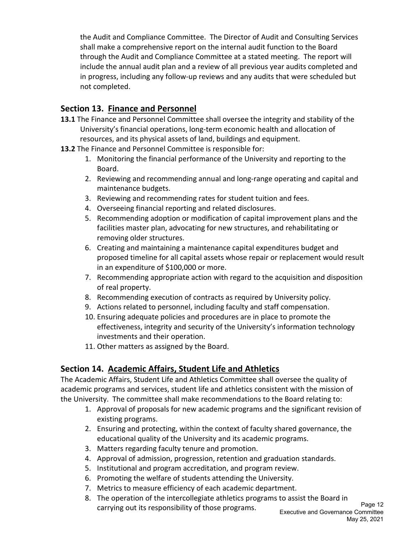the Audit and Compliance Committee. The Director of Audit and Consulting Services shall make a comprehensive report on the internal audit function to the Board through the Audit and Compliance Committee at a stated meeting. The report will include the annual audit plan and a review of all previous year audits completed and in progress, including any follow-up reviews and any audits that were scheduled but not completed.

#### **Section 13. Finance and Personnel**

- **13.1** The Finance and Personnel Committee shall oversee the integrity and stability of the University's financial operations, long-term economic health and allocation of resources, and its physical assets of land, buildings and equipment.
- **13.2** The Finance and Personnel Committee is responsible for:
	- 1. Monitoring the financial performance of the University and reporting to the Board.
	- 2. Reviewing and recommending annual and long-range operating and capital and maintenance budgets.
	- 3. Reviewing and recommending rates for student tuition and fees.
	- 4. Overseeing financial reporting and related disclosures.
	- 5. Recommending adoption or modification of capital improvement plans and the facilities master plan, advocating for new structures, and rehabilitating or removing older structures.
	- 6. Creating and maintaining a maintenance capital expenditures budget and proposed timeline for all capital assets whose repair or replacement would result in an expenditure of \$100,000 or more.
	- 7. Recommending appropriate action with regard to the acquisition and disposition of real property.
	- 8. Recommending execution of contracts as required by University policy.
	- 9. Actions related to personnel, including faculty and staff compensation.
	- 10. Ensuring adequate policies and procedures are in place to promote the effectiveness, integrity and security of the University's information technology investments and their operation.
	- 11. Other matters as assigned by the Board.

# **Section 14. Academic Affairs, Student Life and Athletics**

The Academic Affairs, Student Life and Athletics Committee shall oversee the quality of academic programs and services, student life and athletics consistent with the mission of the University. The committee shall make recommendations to the Board relating to:

- 1. Approval of proposals for new academic programs and the significant revision of existing programs.
- 2. Ensuring and protecting, within the context of faculty shared governance, the educational quality of the University and its academic programs.
- 3. Matters regarding faculty tenure and promotion.
- 4. Approval of admission, progression, retention and graduation standards.
- 5. Institutional and program accreditation, and program review.
- 6. Promoting the welfare of students attending the University.
- 7. Metrics to measure efficiency of each academic department.
- 8. The operation of the intercollegiate athletics programs to assist the Board in carrying out its responsibility of those programs.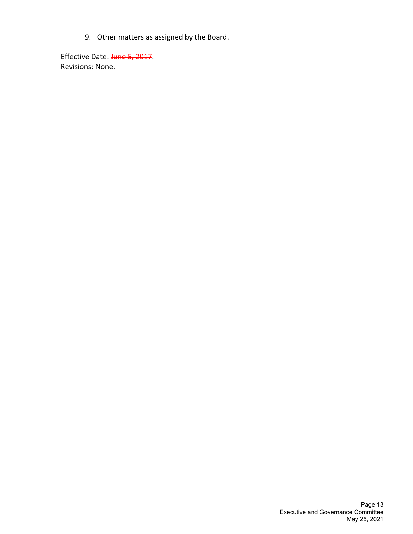9. Other matters as assigned by the Board.

Effective Date: June 5, 2017. Revisions: None.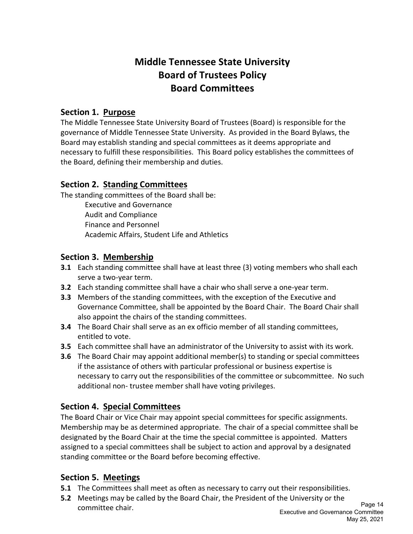# **Middle Tennessee State University Board of Trustees Policy Board Committees**

#### **Section 1. Purpose**

The Middle Tennessee State University Board of Trustees (Board) is responsible for the governance of Middle Tennessee State University. As provided in the Board Bylaws, the Board may establish standing and special committees as it deems appropriate and necessary to fulfill these responsibilities. This Board policy establishes the committees of the Board, defining their membership and duties.

#### **Section 2. Standing Committees**

The standing committees of the Board shall be:

Executive and Governance Audit and Compliance Finance and Personnel Academic Affairs, Student Life and Athletics

#### **Section 3. Membership**

- **3.1** Each standing committee shall have at least three (3) voting members who shall each serve a two-year term.
- **3.2** Each standing committee shall have a chair who shall serve a one-year term.
- **3.3** Members of the standing committees, with the exception of the Executive and Governance Committee, shall be appointed by the Board Chair. The Board Chair shall also appoint the chairs of the standing committees.
- **3.4** The Board Chair shall serve as an ex officio member of all standing committees, entitled to vote.
- **3.5** Each committee shall have an administrator of the University to assist with its work.
- **3.6** The Board Chair may appoint additional member(s) to standing or special committees if the assistance of others with particular professional or business expertise is necessary to carry out the responsibilities of the committee or subcommittee. No such additional non- trustee member shall have voting privileges.

# **Section 4. Special Committees**

The Board Chair or Vice Chair may appoint special committees for specific assignments. Membership may be as determined appropriate. The chair of a special committee shall be designated by the Board Chair at the time the special committee is appointed. Matters assigned to a special committees shall be subject to action and approval by a designated standing committee or the Board before becoming effective.

# **Section 5. Meetings**

- **5.1** The Committees shall meet as often as necessary to carry out their responsibilities.
- **5.2** Meetings may be called by the Board Chair, the President of the University or the committee chair.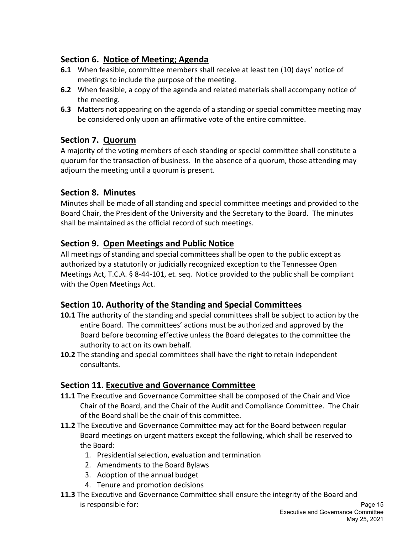#### **Section 6. Notice of Meeting; Agenda**

- **6.1** When feasible, committee members shall receive at least ten (10) days' notice of meetings to include the purpose of the meeting.
- **6.2** When feasible, a copy of the agenda and related materials shall accompany notice of the meeting.
- **6.3** Matters not appearing on the agenda of a standing or special committee meeting may be considered only upon an affirmative vote of the entire committee.

# **Section 7. Quorum**

A majority of the voting members of each standing or special committee shall constitute a quorum for the transaction of business. In the absence of a quorum, those attending may adjourn the meeting until a quorum is present.

#### **Section 8. Minutes**

Minutes shall be made of all standing and special committee meetings and provided to the Board Chair, the President of the University and the Secretary to the Board. The minutes shall be maintained as the official record of such meetings.

#### **Section 9. Open Meetings and Public Notice**

All meetings of standing and special committees shall be open to the public except as authorized by a statutorily or judicially recognized exception to the Tennessee Open Meetings Act, T.C.A. § 8-44-101, et. seq. Notice provided to the public shall be compliant with the Open Meetings Act.

#### **Section 10. Authority of the Standing and Special Committees**

- **10.1** The authority of the standing and special committees shall be subject to action by the entire Board. The committees' actions must be authorized and approved by the Board before becoming effective unless the Board delegates to the committee the authority to act on its own behalf.
- **10.2** The standing and special committees shall have the right to retain independent consultants.

# **Section 11. Executive and Governance Committee**

- **11.1** The Executive and Governance Committee shall be composed of the Chair and Vice Chair of the Board, and the Chair of the Audit and Compliance Committee. The Chair of the Board shall be the chair of this committee.
- **11.2** The Executive and Governance Committee may act for the Board between regular Board meetings on urgent matters except the following, which shall be reserved to the Board:
	- 1. Presidential selection, evaluation and termination
	- 2. Amendments to the Board Bylaws
	- 3. Adoption of the annual budget
	- 4. Tenure and promotion decisions
- **11.3** The Executive and Governance Committee shall ensure the integrity of the Board and is responsible for: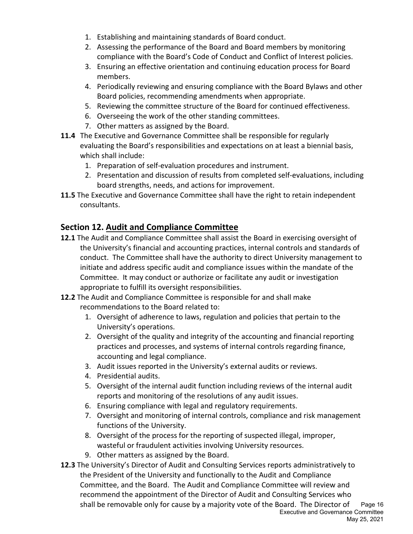- 1. Establishing and maintaining standards of Board conduct.
- 2. Assessing the performance of the Board and Board members by monitoring compliance with the Board's Code of Conduct and Conflict of Interest policies.
- 3. Ensuring an effective orientation and continuing education process for Board members.
- 4. Periodically reviewing and ensuring compliance with the Board Bylaws and other Board policies, recommending amendments when appropriate.
- 5. Reviewing the committee structure of the Board for continued effectiveness.
- 6. Overseeing the work of the other standing committees.
- 7. Other matters as assigned by the Board.
- **11.4** The Executive and Governance Committee shall be responsible for regularly evaluating the Board's responsibilities and expectations on at least a biennial basis, which shall include:
	- 1. Preparation of self-evaluation procedures and instrument.
	- 2. Presentation and discussion of results from completed self-evaluations, including board strengths, needs, and actions for improvement.
- **11.5** The Executive and Governance Committee shall have the right to retain independent consultants.

# **Section 12. Audit and Compliance Committee**

- **12.1** The Audit and Compliance Committee shall assist the Board in exercising oversight of the University's financial and accounting practices, internal controls and standards of conduct. The Committee shall have the authority to direct University management to initiate and address specific audit and compliance issues within the mandate of the Committee. It may conduct or authorize or facilitate any audit or investigation appropriate to fulfill its oversight responsibilities.
- **12.2** The Audit and Compliance Committee is responsible for and shall make recommendations to the Board related to:
	- 1. Oversight of adherence to laws, regulation and policies that pertain to the University's operations.
	- 2. Oversight of the quality and integrity of the accounting and financial reporting practices and processes, and systems of internal controls regarding finance, accounting and legal compliance.
	- 3. Audit issues reported in the University's external audits or reviews.
	- 4. Presidential audits.
	- 5. Oversight of the internal audit function including reviews of the internal audit reports and monitoring of the resolutions of any audit issues.
	- 6. Ensuring compliance with legal and regulatory requirements.
	- 7. Oversight and monitoring of internal controls, compliance and risk management functions of the University.
	- 8. Oversight of the process for the reporting of suspected illegal, improper, wasteful or fraudulent activities involving University resources.
	- 9. Other matters as assigned by the Board.
- **12.3** The University's Director of Audit and Consulting Services reports administratively to the President of the University and functionally to the Audit and Compliance Committee, and the Board. The Audit and Compliance Committee will review and recommend the appointment of the Director of Audit and Consulting Services who shall be removable only for cause by a majority vote of the Board. The Director of Page 16 Executive and Governance Committee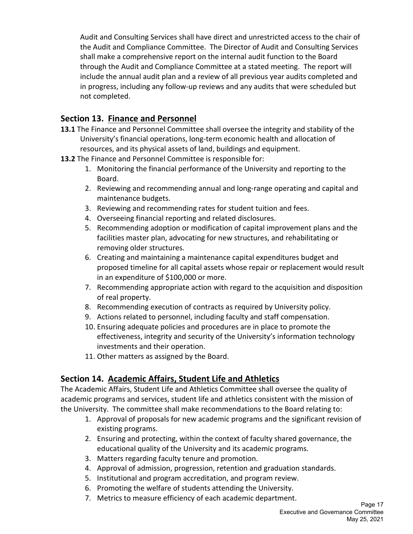Audit and Consulting Services shall have direct and unrestricted access to the chair of the Audit and Compliance Committee. The Director of Audit and Consulting Services shall make a comprehensive report on the internal audit function to the Board through the Audit and Compliance Committee at a stated meeting. The report will include the annual audit plan and a review of all previous year audits completed and in progress, including any follow-up reviews and any audits that were scheduled but not completed.

#### **Section 13. Finance and Personnel**

- **13.1** The Finance and Personnel Committee shall oversee the integrity and stability of the University's financial operations, long-term economic health and allocation of resources, and its physical assets of land, buildings and equipment.
- **13.2** The Finance and Personnel Committee is responsible for:
	- 1. Monitoring the financial performance of the University and reporting to the Board.
	- 2. Reviewing and recommending annual and long-range operating and capital and maintenance budgets.
	- 3. Reviewing and recommending rates for student tuition and fees.
	- 4. Overseeing financial reporting and related disclosures.
	- 5. Recommending adoption or modification of capital improvement plans and the facilities master plan, advocating for new structures, and rehabilitating or removing older structures.
	- 6. Creating and maintaining a maintenance capital expenditures budget and proposed timeline for all capital assets whose repair or replacement would result in an expenditure of \$100,000 or more.
	- 7. Recommending appropriate action with regard to the acquisition and disposition of real property.
	- 8. Recommending execution of contracts as required by University policy.
	- 9. Actions related to personnel, including faculty and staff compensation.
	- 10. Ensuring adequate policies and procedures are in place to promote the effectiveness, integrity and security of the University's information technology investments and their operation.
	- 11. Other matters as assigned by the Board.

#### **Section 14. Academic Affairs, Student Life and Athletics**

The Academic Affairs, Student Life and Athletics Committee shall oversee the quality of academic programs and services, student life and athletics consistent with the mission of the University. The committee shall make recommendations to the Board relating to:

- 1. Approval of proposals for new academic programs and the significant revision of existing programs.
- 2. Ensuring and protecting, within the context of faculty shared governance, the educational quality of the University and its academic programs.
- 3. Matters regarding faculty tenure and promotion.
- 4. Approval of admission, progression, retention and graduation standards.
- 5. Institutional and program accreditation, and program review.
- 6. Promoting the welfare of students attending the University.
- 7. Metrics to measure efficiency of each academic department.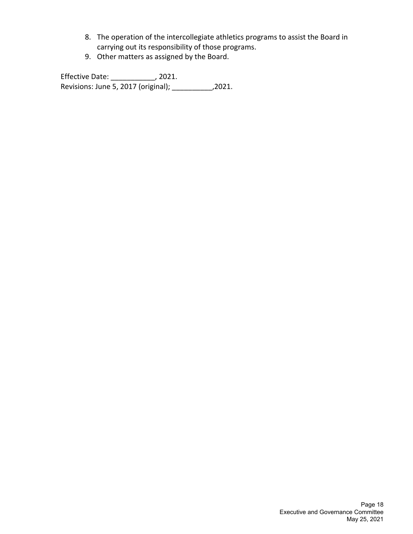- 8. The operation of the intercollegiate athletics programs to assist the Board in carrying out its responsibility of those programs.
- 9. Other matters as assigned by the Board.

Effective Date: \_\_\_\_\_\_\_\_\_\_\_, 2021. Revisions: June 5, 2017 (original); \_\_\_\_\_\_\_\_\_\_,2021.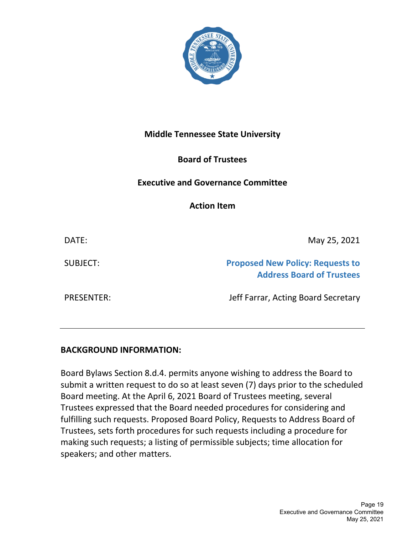

#### **Middle Tennessee State University**

# **Board of Trustees**

#### **Executive and Governance Committee**

#### **Action Item**

DATE: May 25, 2021 SUBJECT: **Proposed New Policy: Requests to Address Board of Trustees**  PRESENTER: Jeff Farrar, Acting Board Secretary

#### **BACKGROUND INFORMATION:**

Board Bylaws Section 8.d.4. permits anyone wishing to address the Board to submit a written request to do so at least seven (7) days prior to the scheduled Board meeting. At the April 6, 2021 Board of Trustees meeting, several Trustees expressed that the Board needed procedures for considering and fulfilling such requests. Proposed Board Policy, Requests to Address Board of Trustees, sets forth procedures for such requests including a procedure for making such requests; a listing of permissible subjects; time allocation for speakers; and other matters.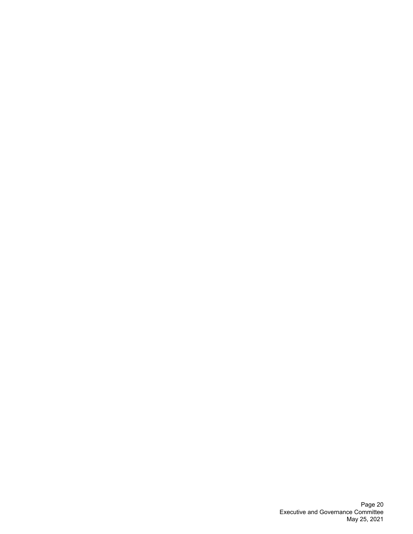Page 20 Executive and Governance Committee May 25, 2021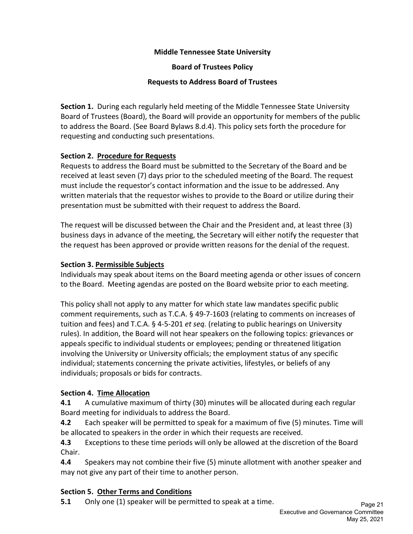#### **Middle Tennessee State University**

#### **Board of Trustees Policy**

#### **Requests to Address Board of Trustees**

**Section 1.** During each regularly held meeting of the Middle Tennessee State University Board of Trustees (Board), the Board will provide an opportunity for members of the public to address the Board. (See Board Bylaws 8.d.4). This policy sets forth the procedure for requesting and conducting such presentations.

#### **Section 2. Procedure for Requests**

Requests to address the Board must be submitted to the Secretary of the Board and be received at least seven (7) days prior to the scheduled meeting of the Board. The request must include the requestor's contact information and the issue to be addressed. Any written materials that the requestor wishes to provide to the Board or utilize during their presentation must be submitted with their request to address the Board.

The request will be discussed between the Chair and the President and, at least three (3) business days in advance of the meeting, the Secretary will either notify the requester that the request has been approved or provide written reasons for the denial of the request.

#### **Section 3. Permissible Subjects**

Individuals may speak about items on the Board meeting agenda or other issues of concern to the Board. Meeting agendas are posted on the Board website prior to each meeting.

This policy shall not apply to any matter for which state law mandates specific public comment requirements, such as T.C.A. § 49-7-1603 (relating to comments on increases of tuition and fees) and T.C.A. § 4-5-201 *et seq.* (relating to public hearings on University rules). In addition, the Board will not hear speakers on the following topics: grievances or appeals specific to individual students or employees; pending or threatened litigation involving the University or University officials; the employment status of any specific individual; statements concerning the private activities, lifestyles, or beliefs of any individuals; proposals or bids for contracts.

#### **Section 4. Time Allocation**

**4.1** A cumulative maximum of thirty (30) minutes will be allocated during each regular Board meeting for individuals to address the Board.

**4.2** Each speaker will be permitted to speak for a maximum of five (5) minutes. Time will be allocated to speakers in the order in which their requests are received.

**4.3** Exceptions to these time periods will only be allowed at the discretion of the Board Chair.

**4.4** Speakers may not combine their five (5) minute allotment with another speaker and may not give any part of their time to another person.

#### **Section 5. Other Terms and Conditions**

**5.1** Only one (1) speaker will be permitted to speak at a time.